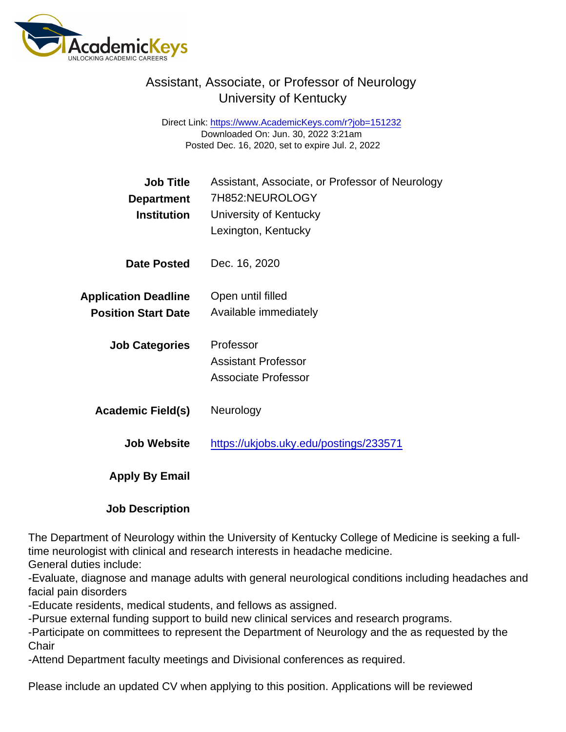## Assistant, Associate, or Professor of Neurology University of Kentucky

Direct Link: <https://www.AcademicKeys.com/r?job=151232> Downloaded On: Jun. 30, 2022 3:21am Posted Dec. 16, 2020, set to expire Jul. 2, 2022

| <b>Job Title</b><br>Department<br>Institution | Assistant, Associate, or Professor of Neurology<br>7H852:NEUROLOGY<br>University of Kentucky<br>Lexington, Kentucky |
|-----------------------------------------------|---------------------------------------------------------------------------------------------------------------------|
| Date Posted                                   | Dec. 16, 2020                                                                                                       |
| <b>Application Deadline</b>                   | Open until filled                                                                                                   |
| <b>Position Start Date</b>                    | Available immediately                                                                                               |
| <b>Job Categories</b>                         | Professor                                                                                                           |
|                                               | <b>Assistant Professor</b>                                                                                          |
|                                               | <b>Associate Professor</b>                                                                                          |
| Academic Field(s)                             | Neurology                                                                                                           |
| Job Website                                   | https://ukjobs.uky.edu/postings/233571                                                                              |
| Apply By Email                                |                                                                                                                     |

Job Description

The Department of Neurology within the University of Kentucky College of Medicine is seeking a fulltime neurologist with clinical and research interests in headache medicine.

General duties include:

-Evaluate, diagnose and manage adults with general neurological conditions including headaches and facial pain disorders

-Educate residents, medical students, and fellows as assigned.

-Pursue external funding support to build new clinical services and research programs.

-Participate on committees to represent the Department of Neurology and the as requested by the **Chair** 

-Attend Department faculty meetings and Divisional conferences as required.

Please include an updated CV when applying to this position. Applications will be reviewed